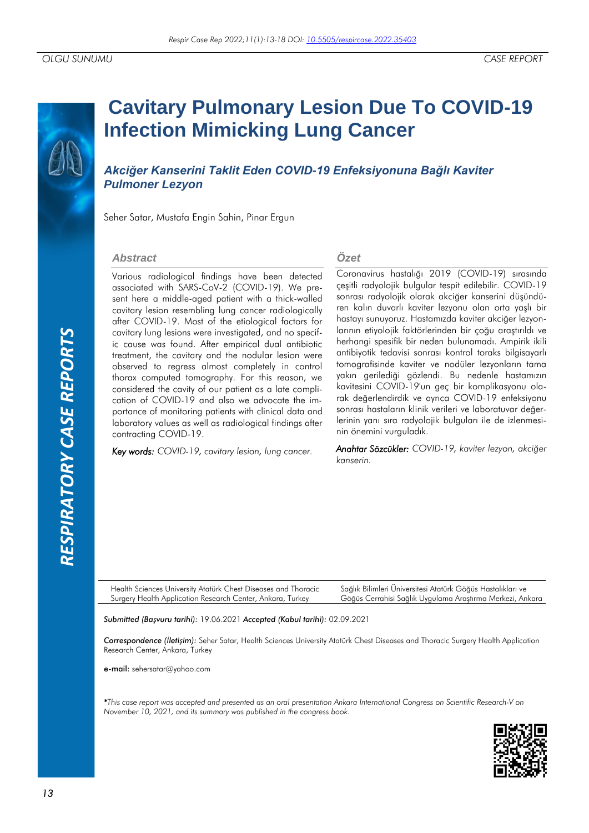# **Cavitary Pulmonary Lesion Due To COVID-19 Infection Mimicking Lung Cancer**

*Akciğer Kanserini Taklit Eden COVID-19 Enfeksiyonuna Bağlı Kaviter Pulmoner Lezyon*

Seher Satar, Mustafa Engin Sahin, Pinar Ergun

#### *Abstract*

Various radiological findings have been detected associated with SARS-CoV-2 (COVID-19). We present here a middle-aged patient with a thick-walled cavitary lesion resembling lung cancer radiologically after COVID-19. Most of the etiological factors for cavitary lung lesions were investigated, and no specific cause was found. After empirical dual antibiotic treatment, the cavitary and the nodular lesion were observed to regress almost completely in control thorax computed tomography. For this reason, we considered the cavity of our patient as a late complication of COVID-19 and also we advocate the importance of monitoring patients with clinical data and laboratory values as well as radiological findings after contracting COVID-19. France investigated, and no specificated the transit of the cruster of the conditable in control to the conditation of COVID-19 considered the convity of our paties and scheme the considered the convity of our paties of c

*Key words: COVID-19, cavitary lesion, lung cancer.*

### *Özet*

Coronavirus hastalığı 2019 (COVID-19) sırasında çeşitli radyolojik bulgular tespit edilebilir. COVID-19 sonrası radyolojik olarak akciğer kanserini düşündüren kalın duvarlı kaviter lezyonu olan orta yaşlı bir hastayı sunuyoruz. Hastamızda kaviter akciğer lezyonlarının etiyolojik faktörlerinden bir çoğu araştırıldı ve herhangi spesifik bir neden bulunamadı. Ampirik ikili antibiyotik tedavisi sonrası kontrol toraks bilgisayarlı tomografisinde kaviter ve nodüler lezyonların tama yakın gerilediği gözlendi. Bu nedenle hastamızın kavitesini COVID-19'un geç bir komplikasyonu olarak değerlendirdik ve ayrıca COVID-19 enfeksiyonu sonrası hastaların klinik verileri ve laboratuvar değerlerinin yanı sıra radyolojik bulguları ile de izlenmesinin önemini vurguladık.

*Anahtar Sözcükler: COVID-19, kaviter lezyon, akciğer kanserin.*

Health Sciences University Atatürk Chest Diseases and Thoracic Surgery Health Application Research Center, Ankara, Turkey Sağlık Bilimleri Üniversitesi Atatürk Göğüs Hastalıkları ve Göğüs Cerrahisi Sağlık Uygulama Araştırma Merkezi, Ankara

*Submitted (Başvuru tarihi):* 19.06.2021 *Accepted (Kabul tarihi):* 02.09.2021

*Correspondence (İletişim):* Seher Satar, Health Sciences University Atatürk Chest Diseases and Thoracic Surgery Health Application Research Center, Ankara, Turkey

e-mail: sehersatar@yahoo.com

*\*This case report was accepted and presented as an oral presentation Ankara International Congress on Scientific Research-V on* 

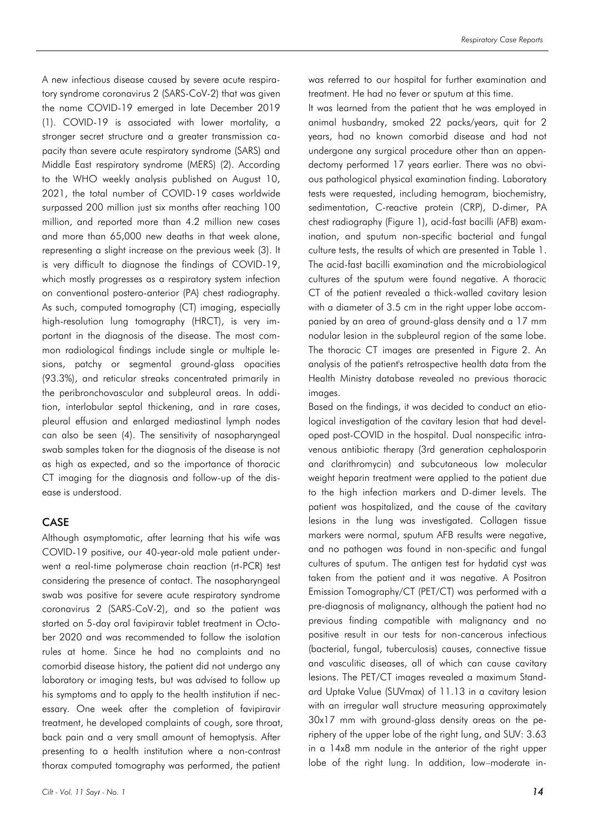A new infectious disease caused by severe acute respiratory syndrome coronavirus 2 (SARS-CoV-2) that was given the name COVID-19 emerged in late December 2019 (1). COVID-19 is associated with lower mortality, a stronger secret structure and a greater transmission capacity than severe acute respiratory syndrome (SARS) and Middle East respiratory syndrome (MERS) (2). According to the WHO weekly analysis published on August 10, 2021, the total number of COVID-19 cases worldwide surpassed 200 million just six months after reaching 100 million, and reported more than 4.2 million new cases and more than 65,000 new deaths in that week alone, representing a slight increase on the previous week (3). It is very difficult to diagnose the findings of COVID-19, which mostly progresses as a respiratory system infection on conventional postero-anterior (PA) chest radiography. As such, computed tomography (CT) imaging, especially high-resolution lung tomography (HRCT), is very important in the diagnosis of the disease. The most common radiological findings include single or multiple lesions, patchy or segmental ground-glass opacities (93.3%), and reticular streaks concentrated primarily in the peribronchovascular and subpleural areas. In addition, interlobular septal thickening, and in rare cases, pleural effusion and enlarged mediastinal lymph nodes can also be seen (4). The sensitivity of nasopharyngeal swab samples taken for the diagnosis of the disease is not as high as expected, and so the importance of thoracic CT imaging for the diagnosis and follow-up of the disease is understood.

## CASE

Although asymptomatic, after learning that his wife was COVID-19 positive, our 40-year-old male patient underwent a real-time polymerase chain reaction (rt-PCR) test considering the presence of contact. The nasopharyngeal swab was positive for severe acute respiratory syndrome coronavirus 2 (SARS-CoV-2), and so the patient was started on 5-day oral favipiravir tablet treatment in October 2020 and was recommended to follow the isolation rules at home. Since he had no complaints and no comorbid disease history, the patient did not undergo any laboratory or imaging tests, but was advised to follow up his symptoms and to apply to the health institution if necessary. One week after the completion of favipiravir treatment, he developed complaints of cough, sore throat, back pain and a very small amount of hemoptysis. After presenting to a health institution where a non-contrast thorax computed tomography was performed, the patient

was referred to our hospital for further examination and treatment. He had no fever or sputum at this time.

It was learned from the patient that he was employed in animal husbandry, smoked 22 packs/years, quit for 2 years, had no known comorbid disease and had not undergone any surgical procedure other than an appendectomy performed 17 years earlier. There was no obvious pathological physical examination finding. Laboratory tests were requested, including hemogram, biochemistry, sedimentation, C-reactive protein (CRP), D-dimer, PA chest radiography (Figure 1), acid-fast bacilli (AFB) examination, and sputum non-specific bacterial and fungal culture tests, the results of which are presented in Table 1. The acid-fast bacilli examination and the microbiological cultures of the sputum were found negative. A thoracic CT of the patient revealed a thick-walled cavitary lesion with a diameter of 3.5 cm in the right upper lobe accompanied by an area of ground-glass density and a 17 mm nodular lesion in the subpleural region of the same lobe. The thoracic CT images are presented in Figure 2. An analysis of the patient's retrospective health data from the Health Ministry database revealed no previous thoracic images.

Based on the findings, it was decided to conduct an etiological investigation of the cavitary lesion that had developed post-COVID in the hospital. Dual nonspecific intravenous antibiotic therapy (3rd generation cephalosporin and clarithromycin) and subcutaneous low molecular weight heparin treatment were applied to the patient due to the high infection markers and D-dimer levels. The patient was hospitalized, and the cause of the cavitary lesions in the lung was investigated. Collagen tissue markers were normal, sputum AFB results were negative, and no pathogen was found in non-specific and fungal cultures of sputum. The antigen test for hydatid cyst was taken from the patient and it was negative. A Positron Emission Tomography/CT (PET/CT) was performed with a pre-diagnosis of malignancy, although the patient had no previous finding compatible with malignancy and no positive result in our tests for non-cancerous infectious (bacterial, fungal, tuberculosis) causes, connective tissue and vasculitic diseases, all of which can cause cavitary lesions. The PET/CT images revealed a maximum Standard Uptake Value (SUVmax) of 11.13 in a cavitary lesion with an irregular wall structure measuring approximately 30x17 mm with ground-glass density areas on the periphery of the upper lobe of the right lung, and SUV: 3.63 in a 14x8 mm nodule in the anterior of the right upper lobe of the right lung. In addition, low–moderate in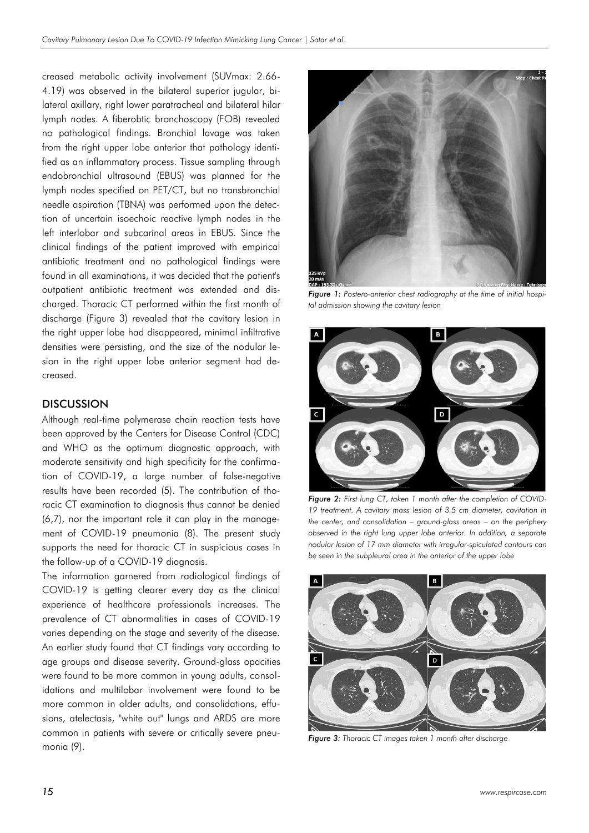creased metabolic activity involvement (SUVmax: 2.66- 4.19) was observed in the bilateral superior jugular, bilateral axillary, right lower paratracheal and bilateral hilar lymph nodes. A fiberobtic bronchoscopy (FOB) revealed no pathological findings. Bronchial lavage was taken from the right upper lobe anterior that pathology identified as an inflammatory process. Tissue sampling through endobronchial ultrasound (EBUS) was planned for the lymph nodes specified on PET/CT, but no transbronchial needle aspiration (TBNA) was performed upon the detection of uncertain isoechoic reactive lymph nodes in the left interlobar and subcarinal areas in EBUS. Since the clinical findings of the patient improved with empirical antibiotic treatment and no pathological findings were found in all examinations, it was decided that the patient's outpatient antibiotic treatment was extended and discharged. Thoracic CT performed within the first month of discharge (Figure 3) revealed that the cavitary lesion in the right upper lobe had disappeared, minimal infiltrative densities were persisting, and the size of the nodular lesion in the right upper lobe anterior segment had decreased.

### **DISCUSSION**

Although real-time polymerase chain reaction tests have been approved by the Centers for Disease Control (CDC) and WHO as the optimum diagnostic approach, with moderate sensitivity and high specificity for the confirmation of COVID-19, a large number of false-negative results have been recorded (5). The contribution of thoracic CT examination to diagnosis thus cannot be denied (6,7), nor the important role it can play in the management of COVID-19 pneumonia (8). The present study supports the need for thoracic CT in suspicious cases in the follow-up of a COVID-19 diagnosis.

The information garnered from radiological findings of COVID-19 is getting clearer every day as the clinical experience of healthcare professionals increases. The prevalence of CT abnormalities in cases of COVID-19 varies depending on the stage and severity of the disease. An earlier study found that CT findings vary according to age groups and disease severity. Ground-glass opacities were found to be more common in young adults, consolidations and multilobar involvement were found to be more common in older adults, and consolidations, effusions, atelectasis, "white out" lungs and ARDS are more common in patients with severe or critically severe pneumonia (9).



*Figure 1: Postero-anterior chest radiography at the time of initial hospital admission showing the cavitary lesion*



**Figure 2:** First lung CT, taken 1 month after the completion of COVID-*19 treatment. A cavitary mass lesion of 3.5 cm diameter, cavitation in the center, and consolidation – ground-glass areas – on the periphery observed in the right lung upper lobe anterior. In addition, a separate nodular lesion of 17 mm diameter with irregular-spiculated contours can be seen in the subpleural area in the anterior of the upper lobe*



*Figure 3: Thoracic CT images taken 1 month after discharge*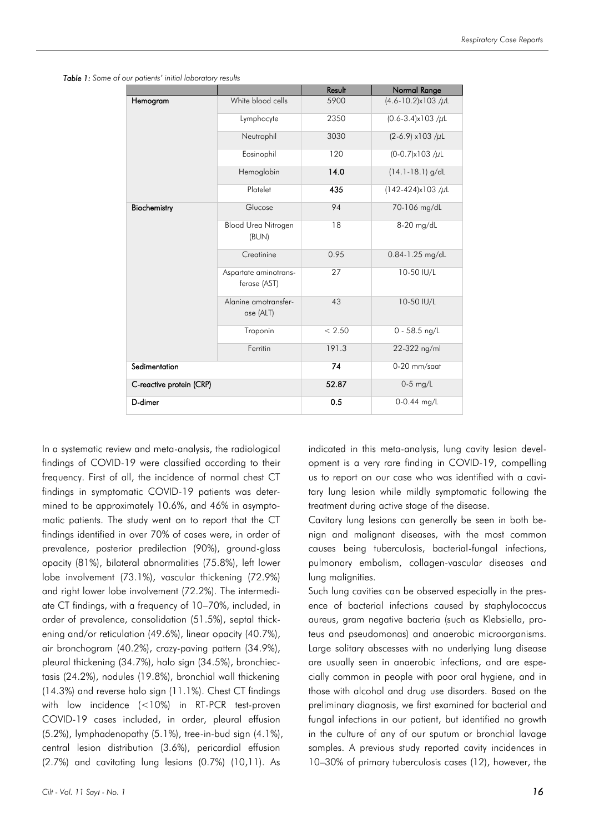|                          |                                       | Result | Normal Range               |
|--------------------------|---------------------------------------|--------|----------------------------|
| Hemogram                 | White blood cells                     | 5900   | $(4.6 - 10.2)x103 / \mu L$ |
|                          | Lymphocyte                            | 2350   | $(0.6 - 3.4)x103 / \mu L$  |
|                          | Neutrophil                            | 3030   | $(2-6.9)$ x103 /µL         |
|                          | Eosinophil                            | 120    | $(0-0.7)x103 / \mu L$      |
|                          | Hemoglobin                            | 14.0   | $(14.1 - 18.1)$ g/dL       |
|                          | Platelet                              | 435    | $(142-424)x103 / \mu L$    |
| Biochemistry             | Glucose                               | 94     | 70-106 mg/dL               |
|                          | <b>Blood Urea Nitrogen</b><br>(BUN)   | 18     | 8-20 mg/dL                 |
|                          | Creatinine                            | 0.95   | 0.84-1.25 mg/dL            |
|                          | Aspartate aminotrans-<br>ferase (AST) | 27     | 10-50 IU/L                 |
|                          | Alanine amotransfer-<br>ase (ALT)     | 43     | 10-50 IU/L                 |
|                          | Troponin                              | < 2.50 | $0 - 58.5$ ng/L            |
|                          | Ferritin                              | 191.3  | 22-322 ng/ml               |
| Sedimentation            |                                       | 74     | 0-20 mm/saat               |
| C-reactive protein (CRP) |                                       | 52.87  | $0-5$ mg/L                 |
| D-dimer                  |                                       | 0.5    | $0-0.44$ mg/L              |

*Table 1: Some of our patients' initial laboratory results*

In a systematic review and meta-analysis, the radiological findings of COVID-19 were classified according to their frequency. First of all, the incidence of normal chest CT findings in symptomatic COVID-19 patients was determined to be approximately 10.6%, and 46% in asymptomatic patients. The study went on to report that the CT findings identified in over 70% of cases were, in order of prevalence, posterior predilection (90%), ground-glass opacity (81%), bilateral abnormalities (75.8%), left lower lobe involvement (73.1%), vascular thickening (72.9%) and right lower lobe involvement (72.2%). The intermediate CT findings, with a frequency of 10–70%, included, in order of prevalence, consolidation (51.5%), septal thickening and/or reticulation (49.6%), linear opacity (40.7%), air bronchogram (40.2%), crazy-paving pattern (34.9%), pleural thickening (34.7%), halo sign (34.5%), bronchiectasis (24.2%), nodules (19.8%), bronchial wall thickening (14.3%) and reverse halo sign (11.1%). Chest CT findings with low incidence (<10%) in RT-PCR test-proven COVID-19 cases included, in order, pleural effusion (5.2%), lymphadenopathy (5.1%), tree-in-bud sign (4.1%), central lesion distribution (3.6%), pericardial effusion (2.7%) and cavitating lung lesions (0.7%) (10,11). As

indicated in this meta-analysis, lung cavity lesion development is a very rare finding in COVID-19, compelling us to report on our case who was identified with a cavitary lung lesion while mildly symptomatic following the treatment during active stage of the disease.

Cavitary lung lesions can generally be seen in both benign and malignant diseases, with the most common causes being tuberculosis, bacterial-fungal infections, pulmonary embolism, collagen-vascular diseases and lung malignities.

Such lung cavities can be observed especially in the presence of bacterial infections caused by staphylococcus aureus, gram negative bacteria (such as Klebsiella, proteus and pseudomonas) and anaerobic microorganisms. Large solitary abscesses with no underlying lung disease are usually seen in anaerobic infections, and are especially common in people with poor oral hygiene, and in those with alcohol and drug use disorders. Based on the preliminary diagnosis, we first examined for bacterial and fungal infections in our patient, but identified no growth in the culture of any of our sputum or bronchial lavage samples. A previous study reported cavity incidences in 10–30% of primary tuberculosis cases (12), however, the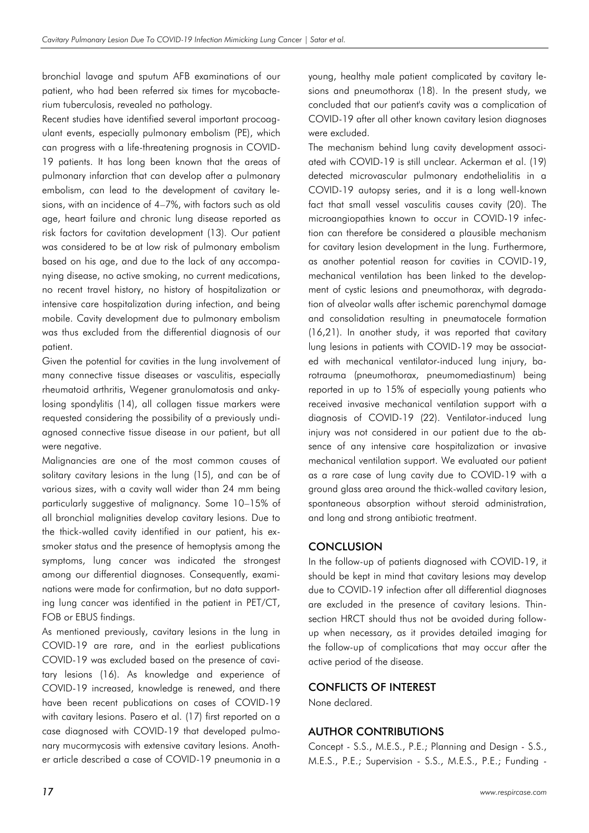bronchial lavage and sputum AFB examinations of our patient, who had been referred six times for mycobacterium tuberculosis, revealed no pathology.

Recent studies have identified several important procoagulant events, especially pulmonary embolism (PE), which can progress with a life-threatening prognosis in COVID-19 patients. It has long been known that the areas of pulmonary infarction that can develop after a pulmonary embolism, can lead to the development of cavitary lesions, with an incidence of 4–7%, with factors such as old age, heart failure and chronic lung disease reported as risk factors for cavitation development (13). Our patient was considered to be at low risk of pulmonary embolism based on his age, and due to the lack of any accompanying disease, no active smoking, no current medications, no recent travel history, no history of hospitalization or intensive care hospitalization during infection, and being mobile. Cavity development due to pulmonary embolism was thus excluded from the differential diagnosis of our patient.

Given the potential for cavities in the lung involvement of many connective tissue diseases or vasculitis, especially rheumatoid arthritis, Wegener granulomatosis and ankylosing spondylitis (14), all collagen tissue markers were requested considering the possibility of a previously undiagnosed connective tissue disease in our patient, but all were negative.

Malignancies are one of the most common causes of solitary cavitary lesions in the lung (15), and can be of various sizes, with a cavity wall wider than 24 mm being particularly suggestive of malignancy. Some 10–15% of all bronchial malignities develop cavitary lesions. Due to the thick-walled cavity identified in our patient, his exsmoker status and the presence of hemoptysis among the symptoms, lung cancer was indicated the strongest among our differential diagnoses. Consequently, examinations were made for confirmation, but no data supporting lung cancer was identified in the patient in PET/CT, FOB or EBUS findings.

As mentioned previously, cavitary lesions in the lung in COVID-19 are rare, and in the earliest publications COVID-19 was excluded based on the presence of cavitary lesions (16). As knowledge and experience of COVID-19 increased, knowledge is renewed, and there have been recent publications on cases of COVID-19 with cavitary lesions. Pasero et al. (17) first reported on a case diagnosed with COVID-19 that developed pulmonary mucormycosis with extensive cavitary lesions. Another article described a case of COVID-19 pneumonia in a

young, healthy male patient complicated by cavitary lesions and pneumothorax (18). In the present study, we concluded that our patient's cavity was a complication of COVID-19 after all other known cavitary lesion diagnoses were excluded.

The mechanism behind lung cavity development associated with COVID-19 is still unclear. Ackerman et al. (19) detected microvascular pulmonary endothelialitis in a COVID-19 autopsy series, and it is a long well-known fact that small vessel vasculitis causes cavity (20). The microangiopathies known to occur in COVID-19 infection can therefore be considered a plausible mechanism for cavitary lesion development in the lung. Furthermore, as another potential reason for cavities in COVID-19, mechanical ventilation has been linked to the development of cystic lesions and pneumothorax, with degradation of alveolar walls after ischemic parenchymal damage and consolidation resulting in pneumatocele formation (16,21). In another study, it was reported that cavitary lung lesions in patients with COVID-19 may be associated with mechanical ventilator-induced lung injury, barotrauma (pneumothorax, pneumomediastinum) being reported in up to 15% of especially young patients who received invasive mechanical ventilation support with a diagnosis of COVID-19 (22). Ventilator-induced lung injury was not considered in our patient due to the absence of any intensive care hospitalization or invasive mechanical ventilation support. We evaluated our patient as a rare case of lung cavity due to COVID-19 with a ground glass area around the thick-walled cavitary lesion, spontaneous absorption without steroid administration, and long and strong antibiotic treatment.

# **CONCLUSION**

In the follow-up of patients diagnosed with COVID-19, it should be kept in mind that cavitary lesions may develop due to COVID-19 infection after all differential diagnoses are excluded in the presence of cavitary lesions. Thinsection HRCT should thus not be avoided during followup when necessary, as it provides detailed imaging for the follow-up of complications that may occur after the active period of the disease.

# CONFLICTS OF INTEREST

None declared.

# AUTHOR CONTRIBUTIONS

Concept - S.S., M.E.S., P.E.; Planning and Design - S.S., M.E.S., P.E.; Supervision - S.S., M.E.S., P.E.; Funding -